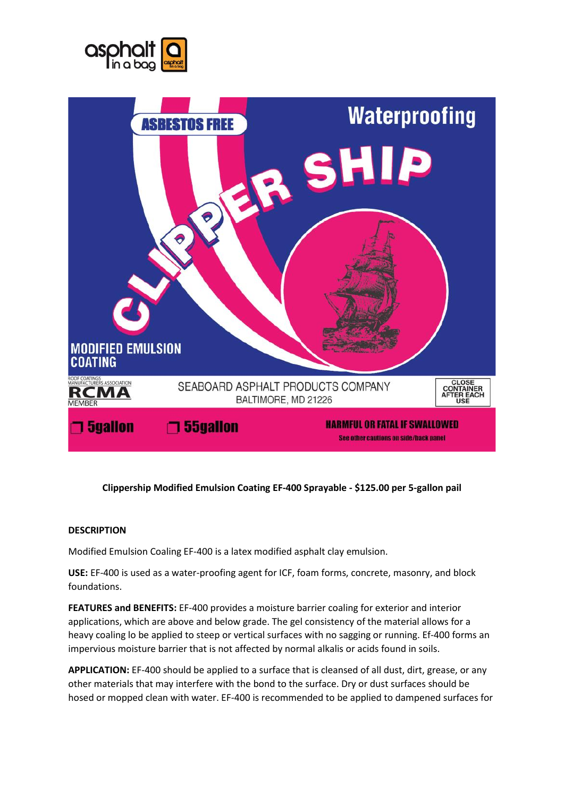



# **Clippership Modified Emulsion Coating EF-400 Sprayable - \$125.00 per 5-gallon pail**

## **DESCRIPTION**

Modified Emulsion Coaling EF-400 is a latex modified asphalt clay emulsion.

**USE:** EF-400 is used as a water-proofing agent for ICF, foam forms, concrete, masonry, and block foundations.

**FEATURES and BENEFITS:** EF-400 provides a moisture barrier coaling for exterior and interior applications, which are above and below grade. The gel consistency of the material allows for a heavy coaling lo be applied to steep or vertical surfaces with no sagging or running. Ef-400 forms an impervious moisture barrier that is not affected by normal alkalis or acids found in soils.

**APPLICATION:** EF-400 should be applied to a surface that is cleansed of all dust, dirt, grease, or any other materials that may interfere with the bond to the surface. Dry or dust surfaces should be hosed or mopped clean with water. EF-400 is recommended to be applied to dampened surfaces for